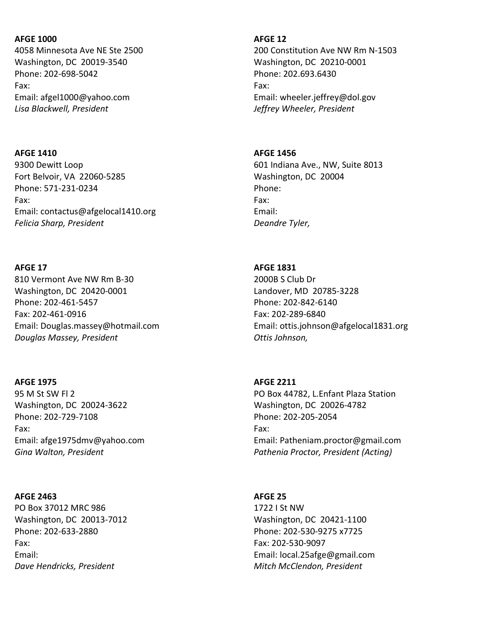## AFGE 1000

4058 Minnesota Ave NE Ste 2500 Washington, DC 20019-3540 Phone: 202-698-5042 Fax: Email: afgel1000@yahoo.com Lisa Blackwell, President

### AFGE 1410

9300 Dewitt Loop Fort Belvoir, VA 22060-5285 Phone: 571-231-0234 Fax: Email: contactus@afgelocal1410.org Felicia Sharp, President

## AFGE 17

810 Vermont Ave NW Rm B-30 Washington, DC 20420-0001 Phone: 202-461-5457 Fax: 202-461-0916 Email: Douglas.massey@hotmail.com Douglas Massey, President

## AFGE 1975

95 M St SW Fl 2 Washington, DC 20024-3622 Phone: 202-729-7108 Fax: Email: afge1975dmv@yahoo.com Gina Walton, President

## AFGE 2463

PO Box 37012 MRC 986 Washington, DC 20013-7012 Phone: 202-633-2880 Fax: Email: Dave Hendricks, President

### AFGE 12

200 Constitution Ave NW Rm N-1503 Washington, DC 20210-0001 Phone: 202.693.6430 Fax: Email: wheeler.jeffrey@dol.gov Jeffrey Wheeler, President

## AFGE 1456

601 Indiana Ave., NW, Suite 8013 Washington, DC 20004 Phone: Fax: Email: Deandre Tyler,

## AFGE 1831

2000B S Club Dr Landover, MD 20785-3228 Phone: 202-842-6140 Fax: 202-289-6840 Email: ottis.johnson@afgelocal1831.org Ottis Johnson,

## AFGE 2211

PO Box 44782, L.Enfant Plaza Station Washington, DC 20026-4782 Phone: 202-205-2054 Fax: Email: Patheniam.proctor@gmail.com Pathenia Proctor, President (Acting)

## AFGE 25

1722 I St NW Washington, DC 20421-1100 Phone: 202-530-9275 x7725 Fax: 202-530-9097 Email: local.25afge@gmail.com Mitch McClendon, President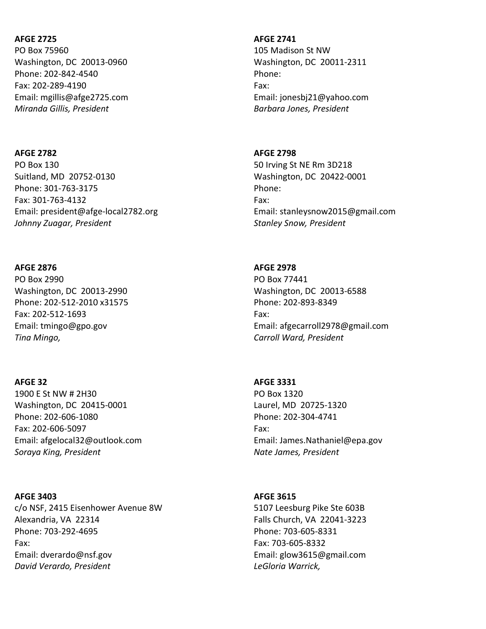## AFGE 2725

PO Box 75960 Washington, DC 20013-0960 Phone: 202-842-4540 Fax: 202-289-4190 Email: mgillis@afge2725.com Miranda Gillis, President

### AFGE 2782

PO Box 130 Suitland, MD 20752-0130 Phone: 301-763-3175 Fax: 301-763-4132 Email: president@afge-local2782.org Johnny Zuagar, President

#### AFGE 2876

PO Box 2990 Washington, DC 20013-2990 Phone: 202-512-2010 x31575 Fax: 202-512-1693 Email: tmingo@gpo.gov Tina Mingo,

#### AFGE 32

1900 E St NW # 2H30 Washington, DC 20415-0001 Phone: 202-606-1080 Fax: 202-606-5097 Email: afgelocal32@outlook.com Soraya King, President

#### AFGE 3403

c/o NSF, 2415 Eisenhower Avenue 8W Alexandria, VA 22314 Phone: 703-292-4695 Fax: Email: dverardo@nsf.gov David Verardo, President

#### AFGE 2741

105 Madison St NW Washington, DC 20011-2311 Phone: Fax: Email: jonesbj21@yahoo.com Barbara Jones, President

### AFGE 2798

50 Irving St NE Rm 3D218 Washington, DC 20422-0001 Phone: Fax: Email: stanleysnow2015@gmail.com Stanley Snow, President

#### AFGE 2978

PO Box 77441 Washington, DC 20013-6588 Phone: 202-893-8349 Fax: Email: afgecarroll2978@gmail.com Carroll Ward, President

### AFGE 3331

PO Box 1320 Laurel, MD 20725-1320 Phone: 202-304-4741 Fax: Email: James.Nathaniel@epa.gov Nate James, President

### AFGE 3615

5107 Leesburg Pike Ste 603B Falls Church, VA 22041-3223 Phone: 703-605-8331 Fax: 703-605-8332 Email: glow3615@gmail.com LeGloria Warrick,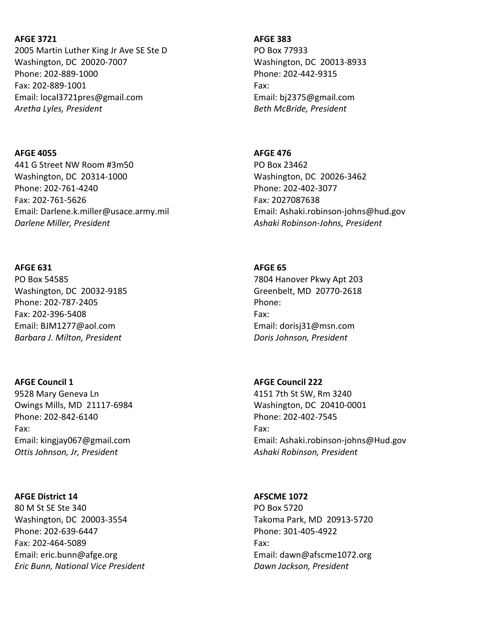### AFGE 3721

2005 Martin Luther King Jr Ave SE Ste D Washington, DC 20020-7007 Phone: 202-889-1000 Fax: 202-889-1001 Email: local3721pres@gmail.com Aretha Lyles, President

### AFGE 4055

441 G Street NW Room #3m50 Washington, DC 20314-1000 Phone: 202-761-4240 Fax: 202-761-5626 Email: Darlene.k.miller@usace.army.mil Darlene Miller, President

### AFGE 631

PO Box 54585 Washington, DC 20032-9185 Phone: 202-787-2405 Fax: 202-396-5408 Email: BJM1277@aol.com Barbara J. Milton, President

### AFGE Council 1

9528 Mary Geneva Ln Owings Mills, MD 21117-6984 Phone: 202-842-6140 Fax: Email: kingjay067@gmail.com Ottis Johnson, Jr, President

### AFGE District 14

80 M St SE Ste 340 Washington, DC 20003-3554 Phone: 202-639-6447 Fax: 202-464-5089 Email: eric.bunn@afge.org Eric Bunn, National Vice President

### AFGE 383

PO Box 77933 Washington, DC 20013-8933 Phone: 202-442-9315 Fax: Email: bj2375@gmail.com Beth McBride, President

### AFGE 476

PO Box 23462 Washington, DC 20026-3462 Phone: 202-402-3077 Fax: 2027087638 Email: Ashaki.robinson-johns@hud.gov Ashaki Robinson-Johns, President

### AFGE 65

7804 Hanover Pkwy Apt 203 Greenbelt, MD 20770-2618 Phone: Fax: Email: dorisj31@msn.com Doris Johnson, President

## AFGE Council 222

4151 7th St SW, Rm 3240 Washington, DC 20410-0001 Phone: 202-402-7545 Fax: Email: Ashaki.robinson-johns@Hud.gov Ashaki Robinson, President

### AFSCME 1072

PO Box 5720 Takoma Park, MD 20913-5720 Phone: 301-405-4922 Fax: Email: dawn@afscme1072.org Dawn Jackson, President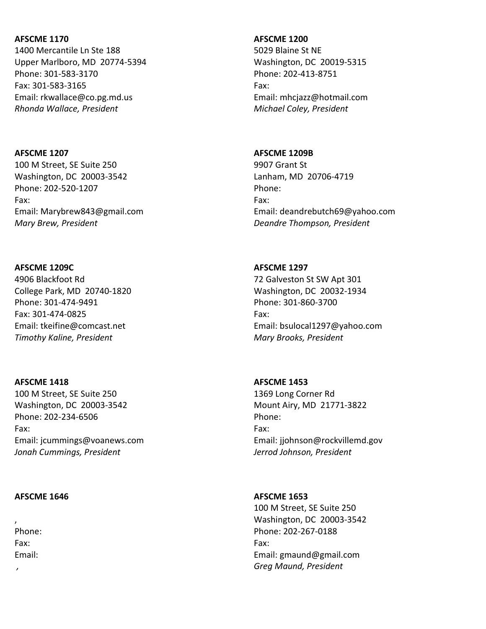1400 Mercantile Ln Ste 188 Upper Marlboro, MD 20774-5394 Phone: 301-583-3170 Fax: 301-583-3165 Email: rkwallace@co.pg.md.us Rhonda Wallace, President

### AFSCME 1207

100 M Street, SE Suite 250 Washington, DC 20003-3542 Phone: 202-520-1207 Fax: Email: Marybrew843@gmail.com Mary Brew, President

## AFSCME 1209C

4906 Blackfoot Rd College Park, MD 20740-1820 Phone: 301-474-9491 Fax: 301-474-0825 Email: tkeifine@comcast.net Timothy Kaline, President

## AFSCME 1418

100 M Street, SE Suite 250 Washington, DC 20003-3542 Phone: 202-234-6506 Fax: Email: jcummings@voanews.com Jonah Cummings, President

### AFSCME 1646

, Phone: Fax: Email:

,

## AFSCME 1200

5029 Blaine St NE Washington, DC 20019-5315 Phone: 202-413-8751 Fax: Email: mhcjazz@hotmail.com Michael Coley, President

## AFSCME 1209B

9907 Grant St Lanham, MD 20706-4719 Phone: Fax: Email: deandrebutch69@yahoo.com Deandre Thompson, President

## AFSCME 1297 72 Galveston St SW Apt 301 Washington, DC 20032-1934

Phone: 301-860-3700 Fax: Email: bsulocal1297@yahoo.com Mary Brooks, President

## AFSCME 1453

1369 Long Corner Rd Mount Airy, MD 21771-3822 Phone: Fax: Email: jjohnson@rockvillemd.gov Jerrod Johnson, President

## AFSCME 1653

100 M Street, SE Suite 250 Washington, DC 20003-3542 Phone: 202-267-0188 Fax: Email: gmaund@gmail.com Greg Maund, President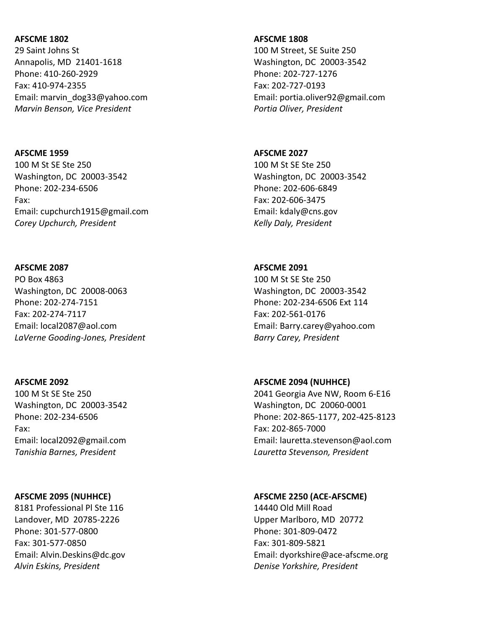29 Saint Johns St Annapolis, MD 21401-1618 Phone: 410-260-2929 Fax: 410-974-2355 Email: marvin\_dog33@yahoo.com Marvin Benson, Vice President

## AFSCME 1959 100 M St SE Ste 250 Washington, DC 20003-3542 Phone: 202-234-6506 Fax: Email: cupchurch1915@gmail.com Corey Upchurch, President

### AFSCME 2087

PO Box 4863 Washington, DC 20008-0063 Phone: 202-274-7151 Fax: 202-274-7117 Email: local2087@aol.com LaVerne Gooding-Jones, President

### AFSCME 2092

100 M St SE Ste 250 Washington, DC 20003-3542 Phone: 202-234-6506 Fax: Email: local2092@gmail.com Tanishia Barnes, President

### AFSCME 2095 (NUHHCE)

8181 Professional Pl Ste 116 Landover, MD 20785-2226 Phone: 301-577-0800 Fax: 301-577-0850 Email: Alvin.Deskins@dc.gov Alvin Eskins, President

#### AFSCME 1808

100 M Street, SE Suite 250 Washington, DC 20003-3542 Phone: 202-727-1276 Fax: 202-727-0193 Email: portia.oliver92@gmail.com Portia Oliver, President

# AFSCME 2027 100 M St SE Ste 250 Washington, DC 20003-3542 Phone: 202-606-6849 Fax: 202-606-3475 Email: kdaly@cns.gov Kelly Daly, President

## AFSCME 2091 100 M St SE Ste 250 Washington, DC 20003-3542 Phone: 202-234-6506 Ext 114 Fax: 202-561-0176 Email: Barry.carey@yahoo.com Barry Carey, President

## AFSCME 2094 (NUHHCE)

2041 Georgia Ave NW, Room 6-E16 Washington, DC 20060-0001 Phone: 202-865-1177, 202-425-8123 Fax: 202-865-7000 Email: lauretta.stevenson@aol.com Lauretta Stevenson, President

### AFSCME 2250 (ACE-AFSCME)

14440 Old Mill Road Upper Marlboro, MD 20772 Phone: 301-809-0472 Fax: 301-809-5821 Email: dyorkshire@ace-afscme.org Denise Yorkshire, President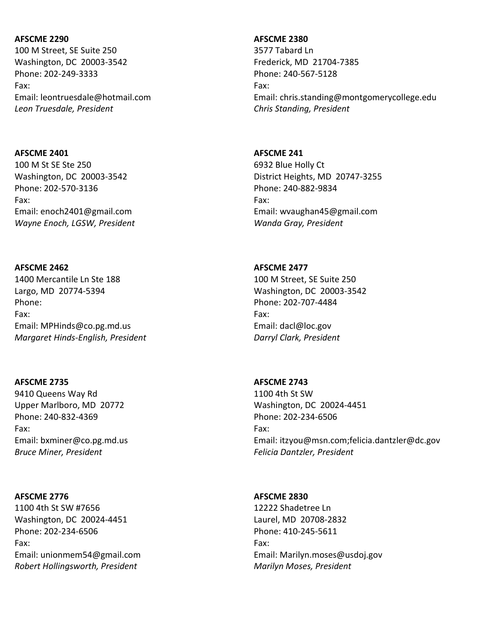100 M Street, SE Suite 250 Washington, DC 20003-3542 Phone: 202-249-3333 Fax: Email: leontruesdale@hotmail.com Leon Truesdale, President

### AFSCME 2401

100 M St SE Ste 250 Washington, DC 20003-3542 Phone: 202-570-3136 Fax: Email: enoch2401@gmail.com Wayne Enoch, LGSW, President

## AFSCME 2462

1400 Mercantile Ln Ste 188 Largo, MD 20774-5394 Phone: Fax: Email: MPHinds@co.pg.md.us Margaret Hinds-English, President

## AFSCME 2735

9410 Queens Way Rd Upper Marlboro, MD 20772 Phone: 240-832-4369 Fax: Email: bxminer@co.pg.md.us Bruce Miner, President

## AFSCME 2776

1100 4th St SW #7656 Washington, DC 20024-4451 Phone: 202-234-6506 Fax: Email: unionmem54@gmail.com Robert Hollingsworth, President

## AFSCME 2380

3577 Tabard Ln Frederick, MD 21704-7385 Phone: 240-567-5128 Fax: Email: chris.standing@montgomerycollege.edu Chris Standing, President

## AFSCME 241

6932 Blue Holly Ct District Heights, MD 20747-3255 Phone: 240-882-9834 Fax: Email: wvaughan45@gmail.com Wanda Gray, President

### AFSCME 2477

100 M Street, SE Suite 250 Washington, DC 20003-3542 Phone: 202-707-4484 Fax: Email: dacl@loc.gov Darryl Clark, President

## AFSCME 2743

1100 4th St SW Washington, DC 20024-4451 Phone: 202-234-6506 Fax: Email: itzyou@msn.com;felicia.dantzler@dc.gov Felicia Dantzler, President

## AFSCME 2830

12222 Shadetree Ln Laurel, MD 20708-2832 Phone: 410-245-5611 Fax: Email: Marilyn.moses@usdoj.gov Marilyn Moses, President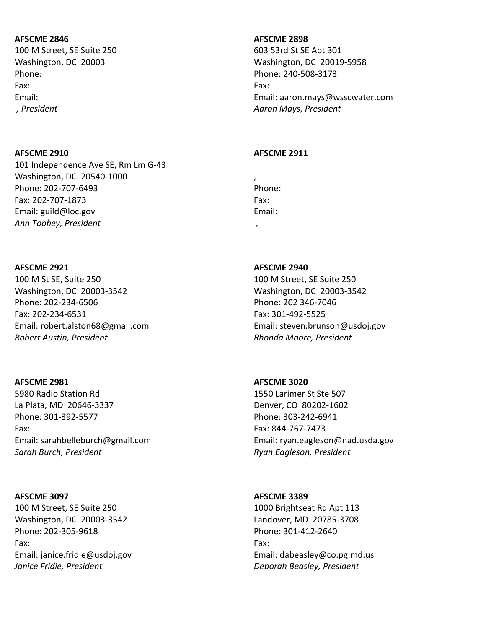100 M Street, SE Suite 250 Washington, DC 20003 Phone: Fax: Email: , President

### AFSCME 2910

101 Independence Ave SE, Rm Lm G-43 Washington, DC 20540-1000 Phone: 202-707-6493 Fax: 202-707-1873 Email: guild@loc.gov Ann Toohey, President

### AFSCME 2921

100 M St SE, Suite 250 Washington, DC 20003-3542 Phone: 202-234-6506 Fax: 202-234-6531 Email: robert.alston68@gmail.com Robert Austin, President

## AFSCME 2981

5980 Radio Station Rd La Plata, MD 20646-3337 Phone: 301-392-5577 Fax: Email: sarahbelleburch@gmail.com Sarah Burch, President

### AFSCME 3097

100 M Street, SE Suite 250 Washington, DC 20003-3542 Phone: 202-305-9618 Fax: Email: janice.fridie@usdoj.gov Janice Fridie, President

### AFSCME 2898

603 53rd St SE Apt 301 Washington, DC 20019-5958 Phone: 240-508-3173 Fax: Email: aaron.mays@wsscwater.com Aaron Mays, President

### AFSCME 2911

, Phone: Fax: Email: ,

# AFSCME 2940 100 M Street, SE Suite 250 Washington, DC 20003-3542 Phone: 202 346-7046 Fax: 301-492-5525 Email: steven.brunson@usdoj.gov Rhonda Moore, President

AFSCME 3020 1550 Larimer St Ste 507 Denver, CO 80202-1602 Phone: 303-242-6941 Fax: 844-767-7473 Email: ryan.eagleson@nad.usda.gov Ryan Eagleson, President

## AFSCME 3389

1000 Brightseat Rd Apt 113 Landover, MD 20785-3708 Phone: 301-412-2640 Fax: Email: dabeasley@co.pg.md.us Deborah Beasley, President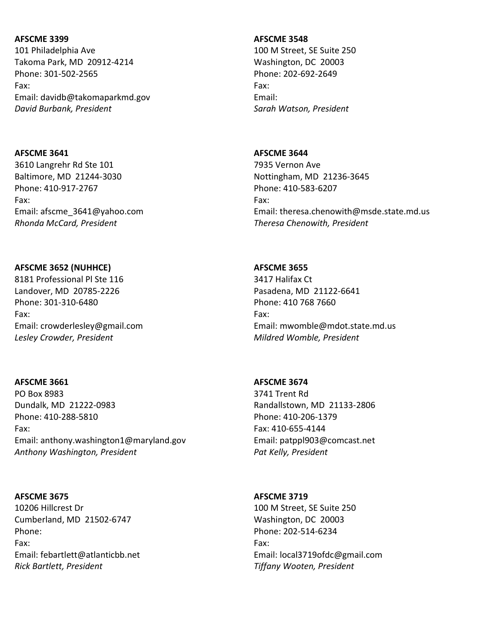101 Philadelphia Ave Takoma Park, MD 20912-4214 Phone: 301-502-2565 Fax: Email: davidb@takomaparkmd.gov David Burbank, President

### AFSCME 3641

3610 Langrehr Rd Ste 101 Baltimore, MD 21244-3030 Phone: 410-917-2767 Fax: Email: afscme\_3641@yahoo.com Rhonda McCard, President

## AFSCME 3652 (NUHHCE)

8181 Professional Pl Ste 116 Landover, MD 20785-2226 Phone: 301-310-6480 Fax: Email: crowderlesley@gmail.com Lesley Crowder, President

## AFSCME 3661

PO Box 8983 Dundalk, MD 21222-0983 Phone: 410-288-5810 Fax: Email: anthony.washington1@maryland.gov Anthony Washington, President

## AFSCME 3675

10206 Hillcrest Dr Cumberland, MD 21502-6747 Phone: Fax: Email: febartlett@atlanticbb.net Rick Bartlett, President

### AFSCME 3548

100 M Street, SE Suite 250 Washington, DC 20003 Phone: 202-692-2649 Fax: Email: Sarah Watson, President

## AFSCME 3644

7935 Vernon Ave Nottingham, MD 21236-3645 Phone: 410-583-6207 Fax: Email: theresa.chenowith@msde.state.md.us Theresa Chenowith, President

## AFSCME 3655

3417 Halifax Ct Pasadena, MD 21122-6641 Phone: 410 768 7660 Fax: Email: mwomble@mdot.state.md.us Mildred Womble, President

## AFSCME 3674

3741 Trent Rd Randallstown, MD 21133-2806 Phone: 410-206-1379 Fax: 410-655-4144 Email: patppl903@comcast.net Pat Kelly, President

# AFSCME 3719

100 M Street, SE Suite 250 Washington, DC 20003 Phone: 202-514-6234 Fax: Email: local3719ofdc@gmail.com Tiffany Wooten, President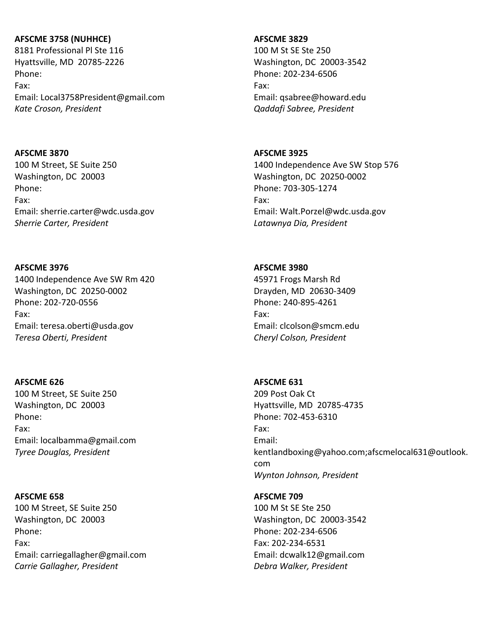## AFSCME 3758 (NUHHCE)

8181 Professional Pl Ste 116 Hyattsville, MD 20785-2226 Phone: Fax: Email: Local3758President@gmail.com Kate Croson, President

### AFSCME 3870

100 M Street, SE Suite 250 Washington, DC 20003 Phone: Fax: Email: sherrie.carter@wdc.usda.gov Sherrie Carter, President

### AFSCME 3976

1400 Independence Ave SW Rm 420 Washington, DC 20250-0002 Phone: 202-720-0556 Fax: Email: teresa.oberti@usda.gov Teresa Oberti, President

## AFSCME 626

100 M Street, SE Suite 250 Washington, DC 20003 Phone: Fax: Email: localbamma@gmail.com Tyree Douglas, President

### AFSCME 658

100 M Street, SE Suite 250 Washington, DC 20003 Phone: Fax: Email: carriegallagher@gmail.com Carrie Gallagher, President

### AFSCME 3829

100 M St SE Ste 250 Washington, DC 20003-3542 Phone: 202-234-6506 Fax: Email: qsabree@howard.edu Qaddafi Sabree, President

## AFSCME 3925

1400 Independence Ave SW Stop 576 Washington, DC 20250-0002 Phone: 703-305-1274 Fax: Email: Walt.Porzel@wdc.usda.gov Latawnya Dia, President

### AFSCME 3980

45971 Frogs Marsh Rd Drayden, MD 20630-3409 Phone: 240-895-4261 Fax: Email: clcolson@smcm.edu Cheryl Colson, President

## AFSCME 631

209 Post Oak Ct Hyattsville, MD 20785-4735 Phone: 702-453-6310 Fax: Email: kentlandboxing@yahoo.com;afscmelocal631@outlook. com Wynton Johnson, President

## AFSCME 709

100 M St SE Ste 250 Washington, DC 20003-3542 Phone: 202-234-6506 Fax: 202-234-6531 Email: dcwalk12@gmail.com Debra Walker, President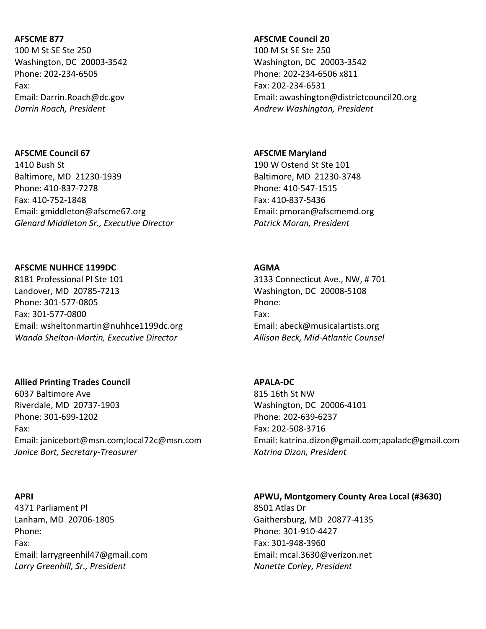100 M St SE Ste 250 Washington, DC 20003-3542 Phone: 202-234-6505 Fax: Email: Darrin.Roach@dc.gov Darrin Roach, President

## AFSCME Council 67 1410 Bush St

Baltimore, MD 21230-1939 Phone: 410-837-7278 Fax: 410-752-1848 Email: gmiddleton@afscme67.org Glenard Middleton Sr., Executive Director

### AFSCME NUHHCE 1199DC

8181 Professional Pl Ste 101 Landover, MD 20785-7213 Phone: 301-577-0805 Fax: 301-577-0800 Email: wsheltonmartin@nuhhce1199dc.org Wanda Shelton-Martin, Executive Director

### Allied Printing Trades Council

6037 Baltimore Ave Riverdale, MD 20737-1903 Phone: 301-699-1202 Fax: Email: janicebort@msn.com;local72c@msn.com Janice Bort, Secretary-Treasurer

### APRI

4371 Parliament Pl Lanham, MD 20706-1805 Phone: Fax: Email: larrygreenhil47@gmail.com Larry Greenhill, Sr., President

### AFSCME Council 20

100 M St SE Ste 250 Washington, DC 20003-3542 Phone: 202-234-6506 x811 Fax: 202-234-6531 Email: awashington@districtcouncil20.org Andrew Washington, President

## AFSCME Maryland

190 W Ostend St Ste 101 Baltimore, MD 21230-3748 Phone: 410-547-1515 Fax: 410-837-5436 Email: pmoran@afscmemd.org Patrick Moran, President

### AGMA

3133 Connecticut Ave., NW, # 701 Washington, DC 20008-5108 Phone: Fax: Email: abeck@musicalartists.org Allison Beck, Mid-Atlantic Counsel

## APALA-DC

815 16th St NW Washington, DC 20006-4101 Phone: 202-639-6237 Fax: 202-508-3716 Email: katrina.dizon@gmail.com;apaladc@gmail.com Katrina Dizon, President

## APWU, Montgomery County Area Local (#3630)

8501 Atlas Dr Gaithersburg, MD 20877-4135 Phone: 301-910-4427 Fax: 301-948-3960 Email: mcal.3630@verizon.net Nanette Corley, President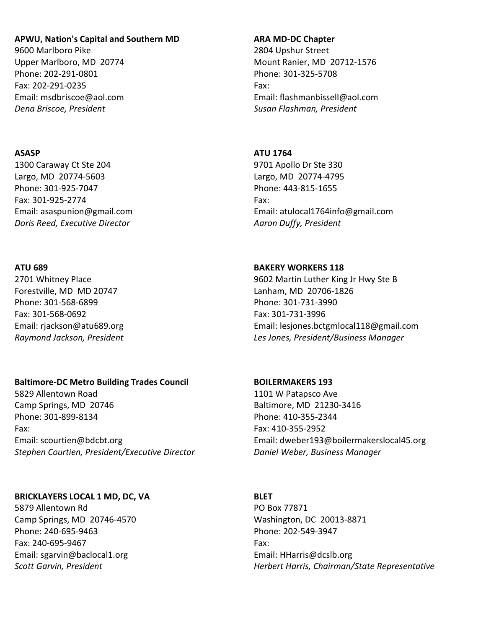## APWU, Nation's Capital and Southern MD

9600 Marlboro Pike Upper Marlboro, MD 20774 Phone: 202-291-0801 Fax: 202-291-0235 Email: msdbriscoe@aol.com Dena Briscoe, President

## ASASP

1300 Caraway Ct Ste 204 Largo, MD 20774-5603 Phone: 301-925-7047 Fax: 301-925-2774 Email: asaspunion@gmail.com Doris Reed, Executive Director

### ATU 689

2701 Whitney Place Forestville, MD MD 20747 Phone: 301-568-6899 Fax: 301-568-0692 Email: rjackson@atu689.org Raymond Jackson, President

### Baltimore-DC Metro Building Trades Council

5829 Allentown Road Camp Springs, MD 20746 Phone: 301-899-8134 Fax: Email: scourtien@bdcbt.org Stephen Courtien, President/Executive Director

### BRICKLAYERS LOCAL 1 MD, DC, VA

5879 Allentown Rd Camp Springs, MD 20746-4570 Phone: 240-695-9463 Fax: 240-695-9467 Email: sgarvin@baclocal1.org Scott Garvin, President

### ARA MD-DC Chapter

2804 Upshur Street Mount Ranier, MD 20712-1576 Phone: 301-325-5708 Fax: Email: flashmanbissell@aol.com Susan Flashman, President

### ATU 1764

9701 Apollo Dr Ste 330 Largo, MD 20774-4795 Phone: 443-815-1655 Fax: Email: atulocal1764info@gmail.com Aaron Duffy, President

### BAKERY WORKERS 118

9602 Martin Luther King Jr Hwy Ste B Lanham, MD 20706-1826 Phone: 301-731-3990 Fax: 301-731-3996 Email: lesjones.bctgmlocal118@gmail.com Les Jones, President/Business Manager

#### BOILERMAKERS 193

1101 W Patapsco Ave Baltimore, MD 21230-3416 Phone: 410-355-2344 Fax: 410-355-2952 Email: dweber193@boilermakerslocal45.org Daniel Weber, Business Manager

## BLET

PO Box 77871 Washington, DC 20013-8871 Phone: 202-549-3947 Fax: Email: HHarris@dcslb.org Herbert Harris, Chairman/State Representative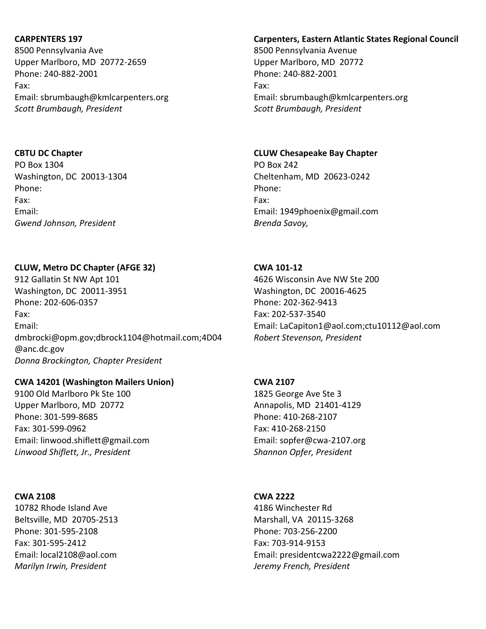## CARPENTERS 197

8500 Pennsylvania Ave Upper Marlboro, MD 20772-2659 Phone: 240-882-2001 Fax: Email: sbrumbaugh@kmlcarpenters.org Scott Brumbaugh, President

## CBTU DC Chapter

PO Box 1304 Washington, DC 20013-1304 Phone: Fax: Email: Gwend Johnson, President

# CLUW, Metro DC Chapter (AFGE 32)

912 Gallatin St NW Apt 101 Washington, DC 20011-3951 Phone: 202-606-0357 Fax: Email: dmbrocki@opm.gov;dbrock1104@hotmail.com;4D04 @anc.dc.gov Donna Brockington, Chapter President

## CWA 14201 (Washington Mailers Union)

9100 Old Marlboro Pk Ste 100 Upper Marlboro, MD 20772 Phone: 301-599-8685 Fax: 301-599-0962 Email: linwood.shiflett@gmail.com Linwood Shiflett, Jr., President

## CWA 2108

10782 Rhode Island Ave Beltsville, MD 20705-2513 Phone: 301-595-2108 Fax: 301-595-2412 Email: local2108@aol.com Marilyn Irwin, President

# Carpenters, Eastern Atlantic States Regional Council

8500 Pennsylvania Avenue Upper Marlboro, MD 20772 Phone: 240-882-2001 Fax: Email: sbrumbaugh@kmlcarpenters.org Scott Brumbaugh, President

## CLUW Chesapeake Bay Chapter

PO Box 242 Cheltenham, MD 20623-0242 Phone: Fax: Email: 1949phoenix@gmail.com Brenda Savoy,

## CWA 101-12

4626 Wisconsin Ave NW Ste 200 Washington, DC 20016-4625 Phone: 202-362-9413 Fax: 202-537-3540 Email: LaCapiton1@aol.com;ctu10112@aol.com Robert Stevenson, President

## CWA 2107

1825 George Ave Ste 3 Annapolis, MD 21401-4129 Phone: 410-268-2107 Fax: 410-268-2150 Email: sopfer@cwa-2107.org Shannon Opfer, President

## CWA 2222

4186 Winchester Rd Marshall, VA 20115-3268 Phone: 703-256-2200 Fax: 703-914-9153 Email: presidentcwa2222@gmail.com Jeremy French, President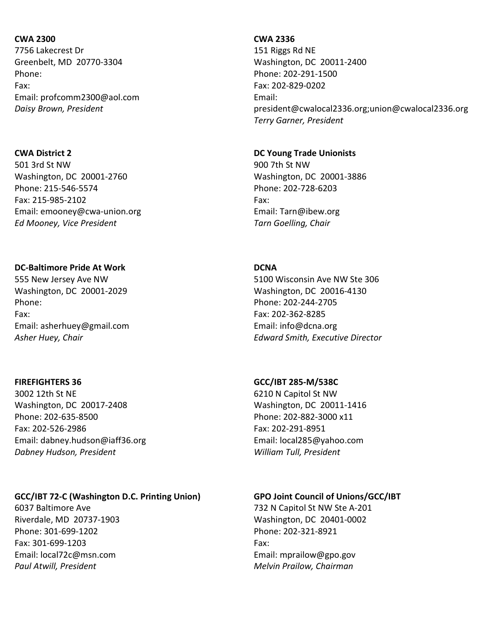## CWA 2300

7756 Lakecrest Dr Greenbelt, MD 20770-3304 Phone: Fax: Email: profcomm2300@aol.com Daisy Brown, President

## CWA District 2

501 3rd St NW Washington, DC 20001-2760 Phone: 215-546-5574 Fax: 215-985-2102 Email: emooney@cwa-union.org Ed Mooney, Vice President

## DC-Baltimore Pride At Work

555 New Jersey Ave NW Washington, DC 20001-2029 Phone: Fax: Email: asherhuey@gmail.com Asher Huey, Chair

## FIREFIGHTERS 36

3002 12th St NE Washington, DC 20017-2408 Phone: 202-635-8500 Fax: 202-526-2986 Email: dabney.hudson@iaff36.org Dabney Hudson, President

## GCC/IBT 72-C (Washington D.C. Printing Union)

6037 Baltimore Ave Riverdale, MD 20737-1903 Phone: 301-699-1202 Fax: 301-699-1203 Email: local72c@msn.com Paul Atwill, President

## CWA 2336

151 Riggs Rd NE Washington, DC 20011-2400 Phone: 202-291-1500 Fax: 202-829-0202 Email: president@cwalocal2336.org;union@cwalocal2336.org Terry Garner, President

## DC Young Trade Unionists

900 7th St NW Washington, DC 20001-3886 Phone: 202-728-6203 Fax: Email: Tarn@ibew.org Tarn Goelling, Chair

## **DCNA**

5100 Wisconsin Ave NW Ste 306 Washington, DC 20016-4130 Phone: 202-244-2705 Fax: 202-362-8285 Email: info@dcna.org Edward Smith, Executive Director

## GCC/IBT 285-M/538C

6210 N Capitol St NW Washington, DC 20011-1416 Phone: 202-882-3000 x11 Fax: 202-291-8951 Email: local285@yahoo.com William Tull, President

# GPO Joint Council of Unions/GCC/IBT

732 N Capitol St NW Ste A-201 Washington, DC 20401-0002 Phone: 202-321-8921 Fax: Email: mprailow@gpo.gov Melvin Prailow, Chairman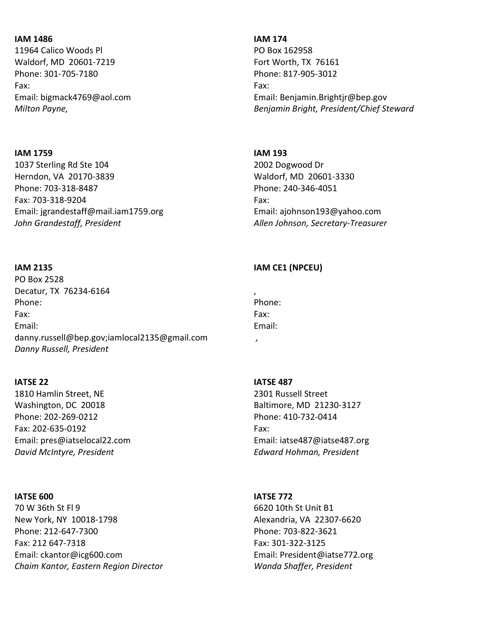## IAM 1486

11964 Calico Woods Pl Waldorf, MD 20601-7219 Phone: 301-705-7180 Fax: Email: bigmack4769@aol.com Milton Payne,

## IAM 1759

1037 Sterling Rd Ste 104 Herndon, VA 20170-3839 Phone: 703-318-8487 Fax: 703-318-9204 Email: jgrandestaff@mail.iam1759.org John Grandestaff, President

#### IAM 2135

PO Box 2528 Decatur, TX 76234-6164 Phone: Fax: Email: danny.russell@bep.gov;iamlocal2135@gmail.com Danny Russell, President

### IATSE 22

1810 Hamlin Street, NE Washington, DC 20018 Phone: 202-269-0212 Fax: 202-635-0192 Email: pres@iatselocal22.com David McIntyre, President

#### IATSE 600

70 W 36th St Fl 9 New York, NY 10018-1798 Phone: 212-647-7300 Fax: 212 647-7318 Email: ckantor@icg600.com Chaim Kantor, Eastern Region Director

#### IAM 174

PO Box 162958 Fort Worth, TX 76161 Phone: 817-905-3012 Fax: Email: Benjamin.Brightjr@bep.gov Benjamin Bright, President/Chief Steward

#### IAM 193

2002 Dogwood Dr Waldorf, MD 20601-3330 Phone: 240-346-4051 Fax: Email: ajohnson193@yahoo.com Allen Johnson, Secretary-Treasurer

### IAM CE1 (NPCEU)

| ,      |  |
|--------|--|
| Phone: |  |
| Fax:   |  |
| Email: |  |

,

#### IATSE 487

2301 Russell Street Baltimore, MD 21230-3127 Phone: 410-732-0414 Fax: Email: iatse487@iatse487.org Edward Hohman, President

### IATSE 772

6620 10th St Unit B1 Alexandria, VA 22307-6620 Phone: 703-822-3621 Fax: 301-322-3125 Email: President@iatse772.org Wanda Shaffer, President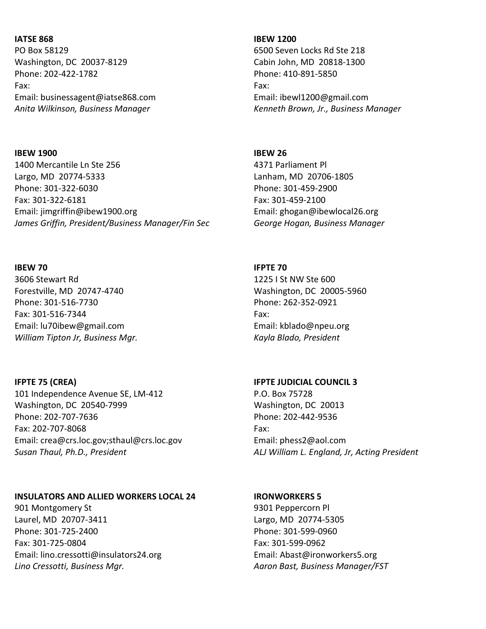### IATSE 868

PO Box 58129 Washington, DC 20037-8129 Phone: 202-422-1782 Fax: Email: businessagent@iatse868.com Anita Wilkinson, Business Manager

# IBEW 1900

1400 Mercantile Ln Ste 256 Largo, MD 20774-5333 Phone: 301-322-6030 Fax: 301-322-6181 Email: jimgriffin@ibew1900.org James Griffin, President/Business Manager/Fin Sec

### IBEW 70

3606 Stewart Rd Forestville, MD 20747-4740 Phone: 301-516-7730 Fax: 301-516-7344 Email: lu70ibew@gmail.com William Tipton Jr, Business Mgr.

### IFPTE 75 (CREA)

101 Independence Avenue SE, LM-412 Washington, DC 20540-7999 Phone: 202-707-7636 Fax: 202-707-8068 Email: crea@crs.loc.gov;sthaul@crs.loc.gov Susan Thaul, Ph.D., President

### INSULATORS AND ALLIED WORKERS LOCAL 24

901 Montgomery St Laurel, MD 20707-3411 Phone: 301-725-2400 Fax: 301-725-0804 Email: lino.cressotti@insulators24.org Lino Cressotti, Business Mgr.

### IBEW 1200

6500 Seven Locks Rd Ste 218 Cabin John, MD 20818-1300 Phone: 410-891-5850 Fax: Email: ibewl1200@gmail.com Kenneth Brown, Jr., Business Manager

### IBEW 26

4371 Parliament Pl Lanham, MD 20706-1805 Phone: 301-459-2900 Fax: 301-459-2100 Email: ghogan@ibewlocal26.org George Hogan, Business Manager

### IFPTE 70

1225 I St NW Ste 600 Washington, DC 20005-5960 Phone: 262-352-0921 Fax: Email: kblado@npeu.org Kayla Blado, President

#### IFPTE JUDICIAL COUNCIL 3

P.O. Box 75728 Washington, DC 20013 Phone: 202-442-9536 Fax: Email: phess2@aol.com ALJ William L. England, Jr, Acting President

### IRONWORKERS 5

9301 Peppercorn Pl Largo, MD 20774-5305 Phone: 301-599-0960 Fax: 301-599-0962 Email: Abast@ironworkers5.org Aaron Bast, Business Manager/FST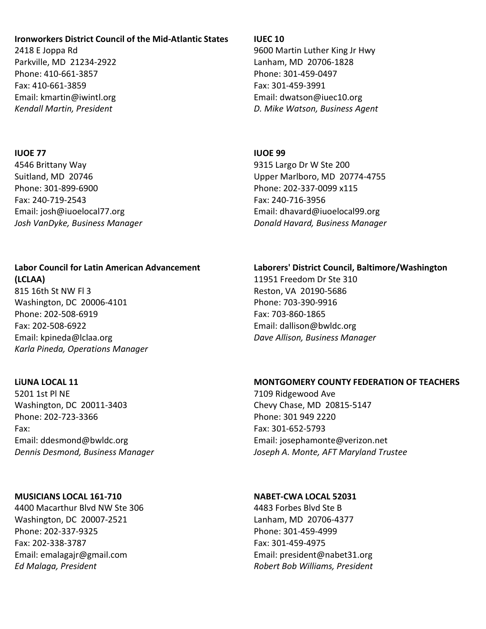## Ironworkers District Council of the Mid-Atlantic States

2418 E Joppa Rd Parkville, MD 21234-2922 Phone: 410-661-3857 Fax: 410-661-3859 Email: kmartin@iwintl.org Kendall Martin, President

### IUOE 77

4546 Brittany Way Suitland, MD 20746 Phone: 301-899-6900 Fax: 240-719-2543 Email: josh@iuoelocal77.org Josh VanDyke, Business Manager

### Labor Council for Latin American Advancement (LCLAA)

815 16th St NW Fl 3 Washington, DC 20006-4101 Phone: 202-508-6919 Fax: 202-508-6922 Email: kpineda@lclaa.org Karla Pineda, Operations Manager

## LiUNA LOCAL 11

5201 1st Pl NE Washington, DC 20011-3403 Phone: 202-723-3366 Fax: Email: ddesmond@bwldc.org Dennis Desmond, Business Manager

## MUSICIANS LOCAL 161-710

4400 Macarthur Blvd NW Ste 306 Washington, DC 20007-2521 Phone: 202-337-9325 Fax: 202-338-3787 Email: emalagajr@gmail.com Ed Malaga, President

## IUEC 10

9600 Martin Luther King Jr Hwy Lanham, MD 20706-1828 Phone: 301-459-0497 Fax: 301-459-3991 Email: dwatson@iuec10.org D. Mike Watson, Business Agent

## IUOE 99

9315 Largo Dr W Ste 200 Upper Marlboro, MD 20774-4755 Phone: 202-337-0099 x115 Fax: 240-716-3956 Email: dhavard@iuoelocal99.org Donald Havard, Business Manager

## Laborers' District Council, Baltimore/Washington

11951 Freedom Dr Ste 310 Reston, VA 20190-5686 Phone: 703-390-9916 Fax: 703-860-1865 Email: dallison@bwldc.org Dave Allison, Business Manager

## MONTGOMERY COUNTY FEDERATION OF TEACHERS

7109 Ridgewood Ave Chevy Chase, MD 20815-5147 Phone: 301 949 2220 Fax: 301-652-5793 Email: josephamonte@verizon.net Joseph A. Monte, AFT Maryland Trustee

## NABET-CWA LOCAL 52031

4483 Forbes Blvd Ste B Lanham, MD 20706-4377 Phone: 301-459-4999 Fax: 301-459-4975 Email: president@nabet31.org Robert Bob Williams, President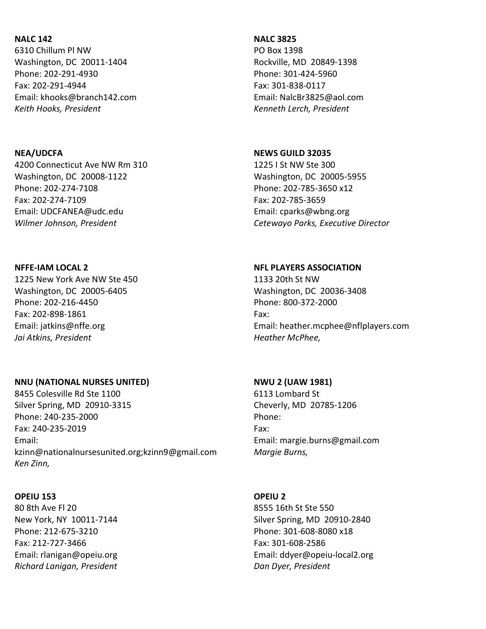## NALC 142

6310 Chillum Pl NW Washington, DC 20011-1404 Phone: 202-291-4930 Fax: 202-291-4944 Email: khooks@branch142.com Keith Hooks, President

### NEA/UDCFA

4200 Connecticut Ave NW Rm 310 Washington, DC 20008-1122 Phone: 202-274-7108 Fax: 202-274-7109 Email: UDCFANEA@udc.edu Wilmer Johnson, President

#### NFFE-IAM LOCAL 2

1225 New York Ave NW Ste 450 Washington, DC 20005-6405 Phone: 202-216-4450 Fax: 202-898-1861 Email: jatkins@nffe.org Jai Atkins, President

### NNU (NATIONAL NURSES UNITED)

8455 Colesville Rd Ste 1100 Silver Spring, MD 20910-3315 Phone: 240-235-2000 Fax: 240-235-2019 Email: kzinn@nationalnursesunited.org;kzinn9@gmail.com Ken Zinn,

#### OPEIU 153

80 8th Ave Fl 20 New York, NY 10011-7144 Phone: 212-675-3210 Fax: 212-727-3466 Email: rlanigan@opeiu.org Richard Lanigan, President

#### NALC 3825

PO Box 1398 Rockville, MD 20849-1398 Phone: 301-424-5960 Fax: 301-838-0117 Email: NalcBr3825@aol.com Kenneth Lerch, President

## NEWS GUILD 32035

1225 I St NW Ste 300 Washington, DC 20005-5955 Phone: 202-785-3650 x12 Fax: 202-785-3659 Email: cparks@wbng.org Cetewayo Parks, Executive Director

#### NFL PLAYERS ASSOCIATION

1133 20th St NW Washington, DC 20036-3408 Phone: 800-372-2000 Fax: Email: heather.mcphee@nflplayers.com Heather McPhee,

## NWU 2 (UAW 1981)

6113 Lombard St Cheverly, MD 20785-1206 Phone: Fax: Email: margie.burns@gmail.com Margie Burns,

### OPEIU 2

8555 16th St Ste 550 Silver Spring, MD 20910-2840 Phone: 301-608-8080 x18 Fax: 301-608-2586 Email: ddyer@opeiu-local2.org Dan Dyer, President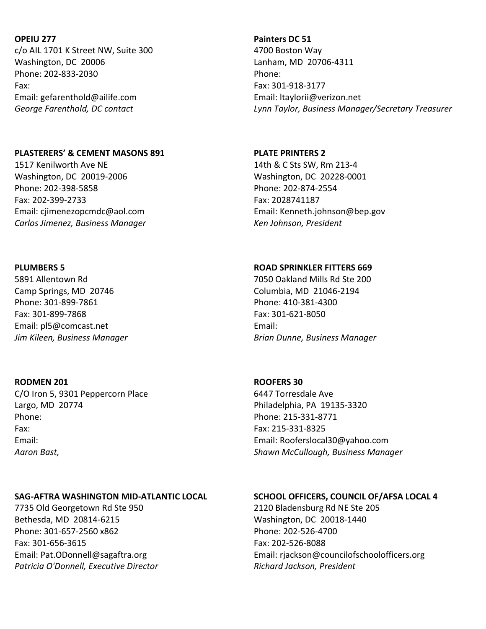### OPEIU 277

c/o AIL 1701 K Street NW, Suite 300 Washington, DC 20006 Phone: 202-833-2030 Fax: Email: gefarenthold@ailife.com George Farenthold, DC contact

### PLASTERERS' & CEMENT MASONS 891

1517 Kenilworth Ave NE Washington, DC 20019-2006 Phone: 202-398-5858 Fax: 202-399-2733 Email: cjimenezopcmdc@aol.com Carlos Jimenez, Business Manager

### PLUMBERS 5

5891 Allentown Rd Camp Springs, MD 20746 Phone: 301-899-7861 Fax: 301-899-7868 Email: pl5@comcast.net Jim Kileen, Business Manager

## RODMEN 201

C/O Iron 5, 9301 Peppercorn Place Largo, MD 20774 Phone: Fax: Email: Aaron Bast,

## SAG-AFTRA WASHINGTON MID-ATLANTIC LOCAL

7735 Old Georgetown Rd Ste 950 Bethesda, MD 20814-6215 Phone: 301-657-2560 x862 Fax: 301-656-3615 Email: Pat.ODonnell@sagaftra.org Patricia O'Donnell, Executive Director

# Painters DC 51 4700 Boston Way Lanham, MD 20706-4311 Phone: Fax: 301-918-3177 Email: ltaylorii@verizon.net Lynn Taylor, Business Manager/Secretary Treasurer

## PLATE PRINTERS 2 14th & C Sts SW, Rm 213-4 Washington, DC 20228-0001 Phone: 202-874-2554 Fax: 2028741187 Email: Kenneth.johnson@bep.gov Ken Johnson, President

## ROAD SPRINKLER FITTERS 669

7050 Oakland Mills Rd Ste 200 Columbia, MD 21046-2194 Phone: 410-381-4300 Fax: 301-621-8050 Email: Brian Dunne, Business Manager

## ROOFERS 30

6447 Torresdale Ave Philadelphia, PA 19135-3320 Phone: 215-331-8771 Fax: 215-331-8325 Email: Rooferslocal30@yahoo.com Shawn McCullough, Business Manager

## SCHOOL OFFICERS, COUNCIL OF/AFSA LOCAL 4

2120 Bladensburg Rd NE Ste 205 Washington, DC 20018-1440 Phone: 202-526-4700 Fax: 202-526-8088 Email: rjackson@councilofschoolofficers.org Richard Jackson, President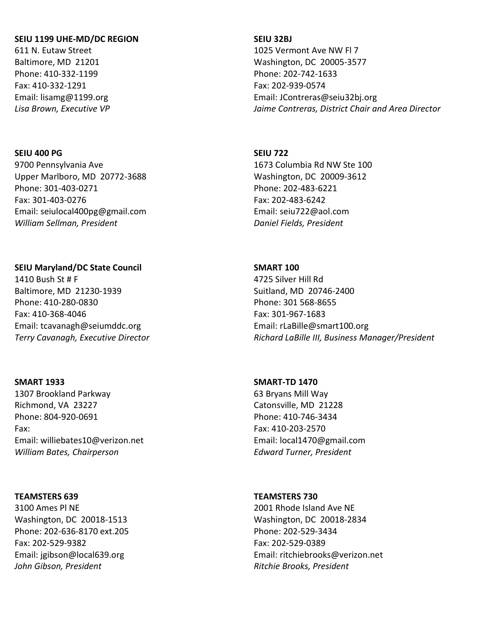### SEIU 1199 UHE-MD/DC REGION

611 N. Eutaw Street Baltimore, MD 21201 Phone: 410-332-1199 Fax: 410-332-1291 Email: lisamg@1199.org Lisa Brown, Executive VP

#### SEIU 400 PG

9700 Pennsylvania Ave Upper Marlboro, MD 20772-3688 Phone: 301-403-0271 Fax: 301-403-0276 Email: seiulocal400pg@gmail.com William Sellman, President

### SEIU Maryland/DC State Council

1410 Bush St # F Baltimore, MD 21230-1939 Phone: 410-280-0830 Fax: 410-368-4046 Email: tcavanagh@seiumddc.org Terry Cavanagh, Executive Director

#### SMART 1933

1307 Brookland Parkway Richmond, VA 23227 Phone: 804-920-0691 Fax: Email: williebates10@verizon.net William Bates, Chairperson

### TEAMSTERS 639

3100 Ames Pl NE Washington, DC 20018-1513 Phone: 202-636-8170 ext.205 Fax: 202-529-9382 Email: jgibson@local639.org John Gibson, President

## SEIU 32BJ

1025 Vermont Ave NW Fl 7 Washington, DC 20005-3577 Phone: 202-742-1633 Fax: 202-939-0574 Email: JContreras@seiu32bj.org Jaime Contreras, District Chair and Area Director

### SEIU 722

1673 Columbia Rd NW Ste 100 Washington, DC 20009-3612 Phone: 202-483-6221 Fax: 202-483-6242 Email: seiu722@aol.com Daniel Fields, President

### SMART 100

4725 Silver Hill Rd Suitland, MD 20746-2400 Phone: 301 568-8655 Fax: 301-967-1683 Email: rLaBille@smart100.org Richard LaBille III, Business Manager/President

### SMART-TD 1470

63 Bryans Mill Way Catonsville, MD 21228 Phone: 410-746-3434 Fax: 410-203-2570 Email: local1470@gmail.com Edward Turner, President

### TEAMSTERS 730

2001 Rhode Island Ave NE Washington, DC 20018-2834 Phone: 202-529-3434 Fax: 202-529-0389 Email: ritchiebrooks@verizon.net Ritchie Brooks, President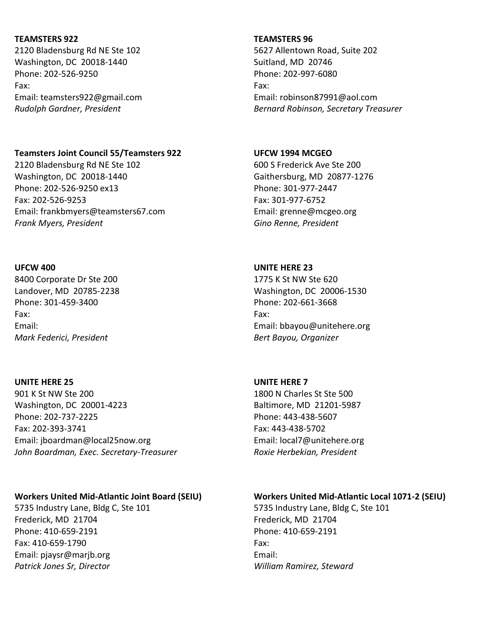## TEAMSTERS 922

2120 Bladensburg Rd NE Ste 102 Washington, DC 20018-1440 Phone: 202-526-9250 Fax: Email: teamsters922@gmail.com Rudolph Gardner, President

## Teamsters Joint Council 55/Teamsters 922

2120 Bladensburg Rd NE Ste 102 Washington, DC 20018-1440 Phone: 202-526-9250 ex13 Fax: 202-526-9253 Email: frankbmyers@teamsters67.com Frank Myers, President

## UFCW 400

8400 Corporate Dr Ste 200 Landover, MD 20785-2238 Phone: 301-459-3400 Fax: Email: Mark Federici, President

## UNITE HERE 25

901 K St NW Ste 200 Washington, DC 20001-4223 Phone: 202-737-2225 Fax: 202-393-3741 Email: jboardman@local25now.org John Boardman, Exec. Secretary-Treasurer

## Workers United Mid-Atlantic Joint Board (SEIU)

5735 Industry Lane, Bldg C, Ste 101 Frederick, MD 21704 Phone: 410-659-2191 Fax: 410-659-1790 Email: pjaysr@marjb.org Patrick Jones Sr, Director

## TEAMSTERS 96

5627 Allentown Road, Suite 202 Suitland, MD 20746 Phone: 202-997-6080 Fax: Email: robinson87991@aol.com Bernard Robinson, Secretary Treasurer

## UFCW 1994 MCGEO

600 S Frederick Ave Ste 200 Gaithersburg, MD 20877-1276 Phone: 301-977-2447 Fax: 301-977-6752 Email: grenne@mcgeo.org Gino Renne, President

## UNITE HERE 23

1775 K St NW Ste 620 Washington, DC 20006-1530 Phone: 202-661-3668 Fax: Email: bbayou@unitehere.org Bert Bayou, Organizer

## UNITE HERE 7

1800 N Charles St Ste 500 Baltimore, MD 21201-5987 Phone: 443-438-5607 Fax: 443-438-5702 Email: local7@unitehere.org Roxie Herbekian, President

## Workers United Mid-Atlantic Local 1071-2 (SEIU)

5735 Industry Lane, Bldg C, Ste 101 Frederick, MD 21704 Phone: 410-659-2191 Fax: Email: William Ramirez, Steward